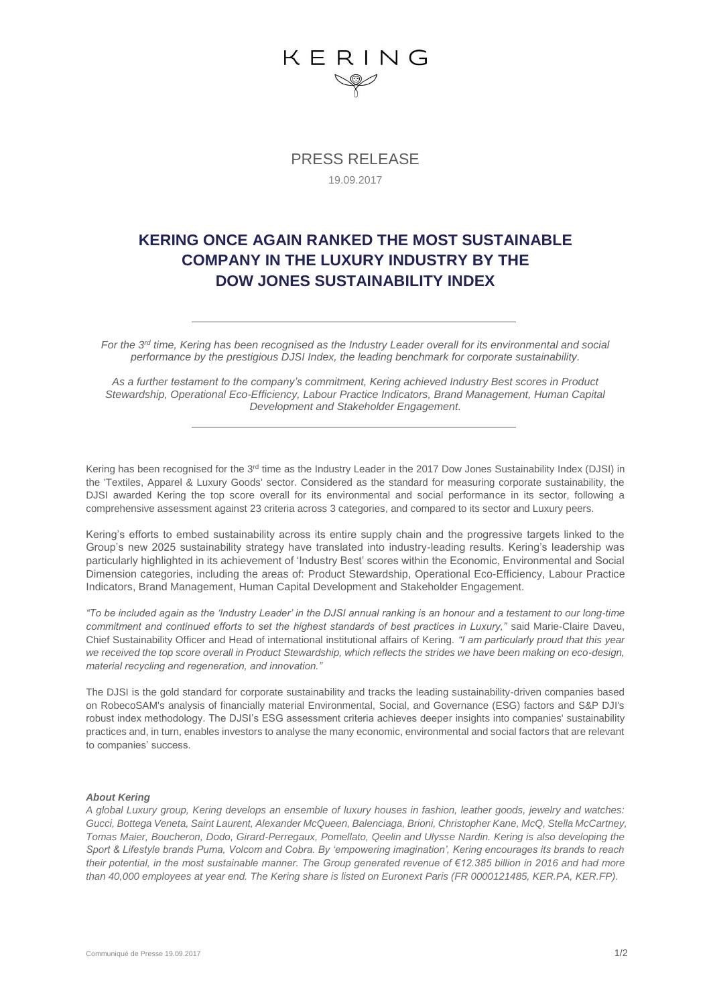## KERING

PRESS RELEASE 19.09.2017

## **KERING ONCE AGAIN RANKED THE MOST SUSTAINABLE COMPANY IN THE LUXURY INDUSTRY BY THE DOW JONES SUSTAINABILITY INDEX**

*For the 3rd time, Kering has been recognised as the Industry Leader overall for its environmental and social performance by the prestigious DJSI Index, the leading benchmark for corporate sustainability.*

*As a further testament to the company's commitment, Kering achieved Industry Best scores in Product Stewardship, Operational Eco-Efficiency, Labour Practice Indicators, Brand Management, Human Capital Development and Stakeholder Engagement.*

Kering has been recognised for the 3<sup>rd</sup> time as the Industry Leader in the 2017 Dow Jones Sustainability Index (DJSI) in the 'Textiles, Apparel & Luxury Goods' sector. Considered as the standard for measuring corporate sustainability, the DJSI awarded Kering the top score overall for its environmental and social performance in its sector, following a comprehensive assessment against 23 criteria across 3 categories, and compared to its sector and Luxury peers.

Kering's efforts to embed sustainability across its entire supply chain and the progressive targets linked to the Group's new 2025 sustainability strategy have translated into industry-leading results. Kering's leadership was particularly highlighted in its achievement of 'Industry Best' scores within the Economic, Environmental and Social Dimension categories, including the areas of: Product Stewardship, Operational Eco-Efficiency, Labour Practice Indicators, Brand Management, Human Capital Development and Stakeholder Engagement.

*"To be included again as the 'Industry Leader' in the DJSI annual ranking is an honour and a testament to our long-time commitment and continued efforts to set the highest standards of best practices in Luxury,"* said Marie-Claire Daveu, Chief Sustainability Officer and Head of international institutional affairs of Kering. *"I am particularly proud that this year we received the top score overall in Product Stewardship, which reflects the strides we have been making on eco-design, material recycling and regeneration, and innovation."*

The DJSI is the gold standard for corporate sustainability and tracks the leading sustainability-driven companies based on RobecoSAM's analysis of financially material Environmental, Social, and Governance (ESG) factors and S&P DJI's robust index methodology. The DJSI's ESG assessment criteria achieves deeper insights into companies' sustainability practices and, in turn, enables investors to analyse the many economic, environmental and social factors that are relevant to companies' success.

### *About Kering*

*A global Luxury group, Kering develops an ensemble of luxury houses in fashion, leather goods, jewelry and watches: Gucci, Bottega Veneta, Saint Laurent, Alexander McQueen, Balenciaga, Brioni, Christopher Kane, McQ, Stella McCartney, Tomas Maier, Boucheron, Dodo, Girard-Perregaux, Pomellato, Qeelin and Ulysse Nardin. Kering is also developing the Sport & Lifestyle brands Puma, Volcom and Cobra. By 'empowering imagination', Kering encourages its brands to reach their potential, in the most sustainable manner. The Group generated revenue of €12.385 billion in 2016 and had more than 40,000 employees at year end. The Kering share is listed on Euronext Paris (FR 0000121485, KER.PA, KER.FP).*